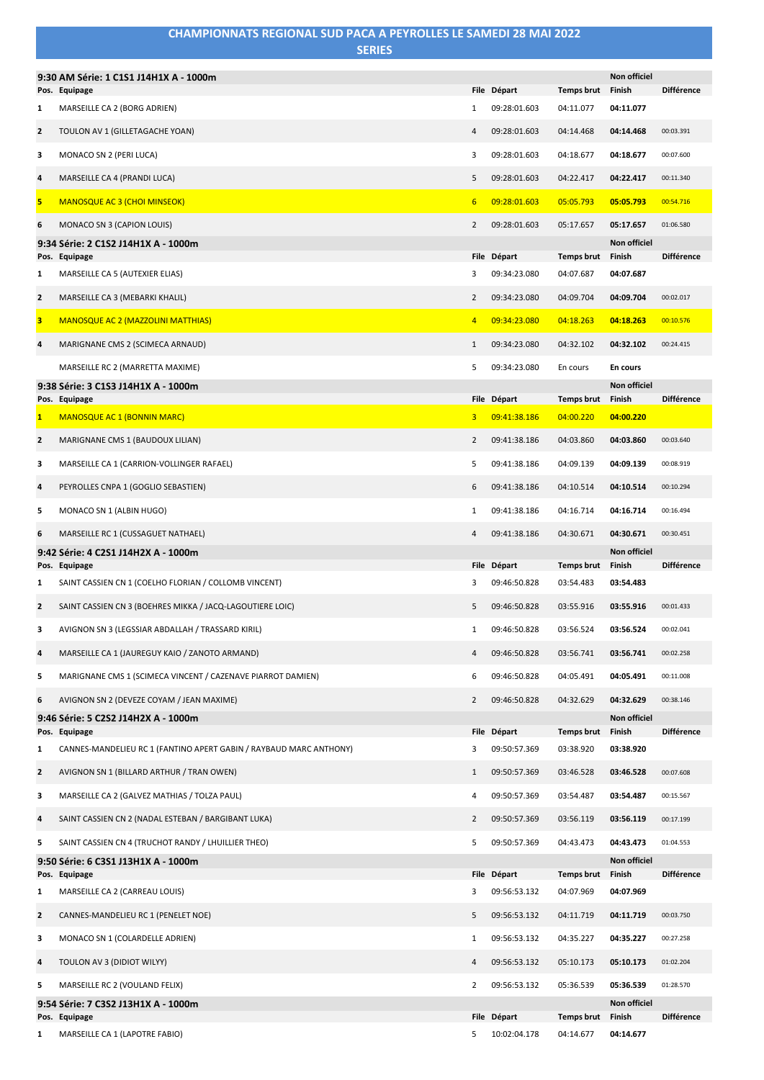|                | <b>CHAMPIONNATS REGIONAL SUD PACA A PEYROLLES LE SAMEDI 28 MAI 2022</b><br><b>SERIES</b> |                 |                             |                                |                                  |                   |
|----------------|------------------------------------------------------------------------------------------|-----------------|-----------------------------|--------------------------------|----------------------------------|-------------------|
|                | 9:30 AM Série: 1 C1S1 J14H1X A - 1000m                                                   |                 |                             |                                | <b>Non officiel</b>              |                   |
|                | Pos. Equipage                                                                            |                 | File Départ                 | Temps brut Finish              |                                  | <b>Différence</b> |
| 1              | MARSEILLE CA 2 (BORG ADRIEN)                                                             | 1               | 09:28:01.603                | 04:11.077                      | 04:11.077                        |                   |
| $\overline{2}$ | TOULON AV 1 (GILLETAGACHE YOAN)                                                          | 4               | 09:28:01.603                | 04:14.468                      | 04:14.468                        | 00:03.391         |
| з              | MONACO SN 2 (PERI LUCA)                                                                  | 3               | 09:28:01.603                | 04:18.677                      | 04:18.677                        | 00:07.600         |
| 4              | MARSEILLE CA 4 (PRANDI LUCA)                                                             | 5               | 09:28:01.603                | 04:22.417                      | 04:22.417                        | 00:11.340         |
| 5              | <b>MANOSQUE AC 3 (CHOI MINSEOK)</b>                                                      | $6\overline{6}$ | 09:28:01.603                | 05:05.793                      | 05:05.793                        | 00:54.716         |
| 6              | MONACO SN 3 (CAPION LOUIS)                                                               | $\overline{2}$  | 09:28:01.603                | 05:17.657                      | 05:17.657                        | 01:06.580         |
| 9:34           | Série: 2 C1S2 J14H1X A - 1000m                                                           |                 |                             |                                | <b>Non officiel</b>              |                   |
| 1              | Pos. Equipage<br>MARSEILLE CA 5 (AUTEXIER ELIAS)                                         | 3               | File Départ<br>09:34:23.080 | Temps brut<br>04:07.687        | Finish<br>04:07.687              | <b>Différence</b> |
| $\overline{2}$ | MARSEILLE CA 3 (MEBARKI KHALIL)                                                          | 2               | 09:34:23.080                | 04:09.704                      | 04:09.704                        | 00:02.017         |
|                |                                                                                          |                 |                             |                                |                                  |                   |
| 3              | <b>MANOSQUE AC 2 (MAZZOLINI MATTHIAS)</b>                                                | $\overline{4}$  | 09:34:23.080                | 04:18.263                      | 04:18.263                        | 00:10.576         |
| 4              | MARIGNANE CMS 2 (SCIMECA ARNAUD)                                                         | $\mathbf{1}$    | 09:34:23.080                | 04:32.102                      | 04:32.102                        | 00:24.415         |
|                | MARSEILLE RC 2 (MARRETTA MAXIME)                                                         | 5               | 09:34:23.080                | En cours                       | En cours<br><b>Non officiel</b>  |                   |
|                | 9:38 Série: 3 C1S3 J14H1X A - 1000m<br>Pos. Equipage                                     |                 | File Départ                 | <b>Temps brut</b>              | Finish                           | <b>Différence</b> |
| $\mathbf{1}$   | <b>MANOSQUE AC 1 (BONNIN MARC)</b>                                                       | 3               | 09:41:38.186                | 04:00.220                      | 04:00.220                        |                   |
| $\mathbf{2}$   | MARIGNANE CMS 1 (BAUDOUX LILIAN)                                                         | $\overline{2}$  | 09:41:38.186                | 04:03.860                      | 04:03.860                        | 00:03.640         |
| з              | MARSEILLE CA 1 (CARRION-VOLLINGER RAFAEL)                                                | 5               | 09:41:38.186                | 04:09.139                      | 04:09.139                        | 00:08.919         |
| 4              | PEYROLLES CNPA 1 (GOGLIO SEBASTIEN)                                                      | 6               | 09:41:38.186                | 04:10.514                      | 04:10.514                        | 00:10.294         |
| 5              | MONACO SN 1 (ALBIN HUGO)                                                                 | $\mathbf{1}$    | 09:41:38.186                | 04:16.714                      | 04:16.714                        | 00:16.494         |
| 6              | MARSEILLE RC 1 (CUSSAGUET NATHAEL)                                                       | $\overline{4}$  | 09:41:38.186                | 04:30.671                      | 04:30.671                        | 00:30.451         |
|                | 9:42 Série: 4 C2S1 J14H2X A - 1000m                                                      |                 |                             |                                | <b>Non officiel</b>              |                   |
| 1              | Pos. Equipage<br>SAINT CASSIEN CN 1 (COELHO FLORIAN / COLLOMB VINCENT)                   | 3               | File Départ<br>09:46:50.828 | Temps brut<br>03:54.483        | Finish<br>03:54.483              | <b>Différence</b> |
| $\mathbf{2}$   | SAINT CASSIEN CN 3 (BOEHRES MIKKA / JACQ-LAGOUTIERE LOIC)                                | 5               | 09:46:50.828                | 03:55.916                      | 03:55.916                        | 00:01.433         |
| з              | AVIGNON SN 3 (LEGSSIAR ABDALLAH / TRASSARD KIRIL)                                        | $\mathbf{1}$    | 09:46:50.828                | 03:56.524                      | 03:56.524                        | 00:02.041         |
| 4              | MARSEILLE CA 1 (JAUREGUY KAIO / ZANOTO ARMAND)                                           | $\overline{4}$  | 09:46:50.828                | 03:56.741                      | 03:56.741                        | 00:02.258         |
| 5              | MARIGNANE CMS 1 (SCIMECA VINCENT / CAZENAVE PIARROT DAMIEN)                              | 6               | 09:46:50.828                | 04:05.491                      | 04:05.491                        | 00:11.008         |
| 6              | AVIGNON SN 2 (DEVEZE COYAM / JEAN MAXIME)                                                | $\overline{2}$  | 09:46:50.828                | 04:32.629                      | 04:32.629                        | 00:38.146         |
|                | 9:46 Série: 5 C2S2 J14H2X A - 1000m                                                      |                 |                             |                                | Non officiel                     |                   |
|                | Pos. Equipage                                                                            |                 | File Départ                 | <b>Temps brut</b>              | Finish                           | <b>Différence</b> |
| 1              | CANNES-MANDELIEU RC 1 (FANTINO APERT GABIN / RAYBAUD MARC ANTHONY)                       | 3               | 09:50:57.369                | 03:38.920                      | 03:38.920                        |                   |
| $\overline{2}$ | AVIGNON SN 1 (BILLARD ARTHUR / TRAN OWEN)                                                | $\mathbf{1}$    | 09:50:57.369                | 03:46.528                      | 03:46.528                        | 00:07.608         |
| 3              | MARSEILLE CA 2 (GALVEZ MATHIAS / TOLZA PAUL)                                             | 4               | 09:50:57.369                | 03:54.487                      | 03:54.487                        | 00:15.567         |
| 4              | SAINT CASSIEN CN 2 (NADAL ESTEBAN / BARGIBANT LUKA)                                      | $\overline{2}$  | 09:50:57.369                | 03:56.119                      | 03:56.119                        | 00:17.199         |
| 5              | SAINT CASSIEN CN 4 (TRUCHOT RANDY / LHUILLIER THEO)                                      | 5               | 09:50:57.369                | 04:43.473                      | 04:43.473                        | 01:04.553         |
|                | 9:50 Série: 6 C3S1 J13H1X A - 1000m                                                      |                 |                             |                                | Non officiel                     |                   |
| 1              | Pos. Equipage<br>MARSEILLE CA 2 (CARREAU LOUIS)                                          | 3               | File Départ<br>09:56:53.132 | <b>Temps brut</b><br>04:07.969 | Finish<br>04:07.969              | <b>Différence</b> |
| $\overline{2}$ | CANNES-MANDELIEU RC 1 (PENELET NOE)                                                      | 5               | 09:56:53.132                | 04:11.719                      | 04:11.719                        | 00:03.750         |
| з              | MONACO SN 1 (COLARDELLE ADRIEN)                                                          | 1               | 09:56:53.132                | 04:35.227                      | 04:35.227                        | 00:27.258         |
| 4              | TOULON AV 3 (DIDIOT WILYY)                                                               | 4               | 09:56:53.132                | 05:10.173                      | 05:10.173                        | 01:02.204         |
|                |                                                                                          |                 |                             |                                |                                  |                   |
| 5              | MARSEILLE RC 2 (VOULAND FELIX)<br>9:54 Série: 7 C3S2 J13H1X A - 1000m                    | $\overline{2}$  | 09:56:53.132                | 05:36.539                      | 05:36.539<br><b>Non officiel</b> | 01:28.570         |
|                | Pos. Equipage                                                                            |                 | File Départ                 | <b>Temps brut</b>              | Finish                           | <b>Différence</b> |
| 1              | MARSEILLE CA 1 (LAPOTRE FABIO)                                                           | 5               | 10:02:04.178                | 04:14.677                      | 04:14.677                        |                   |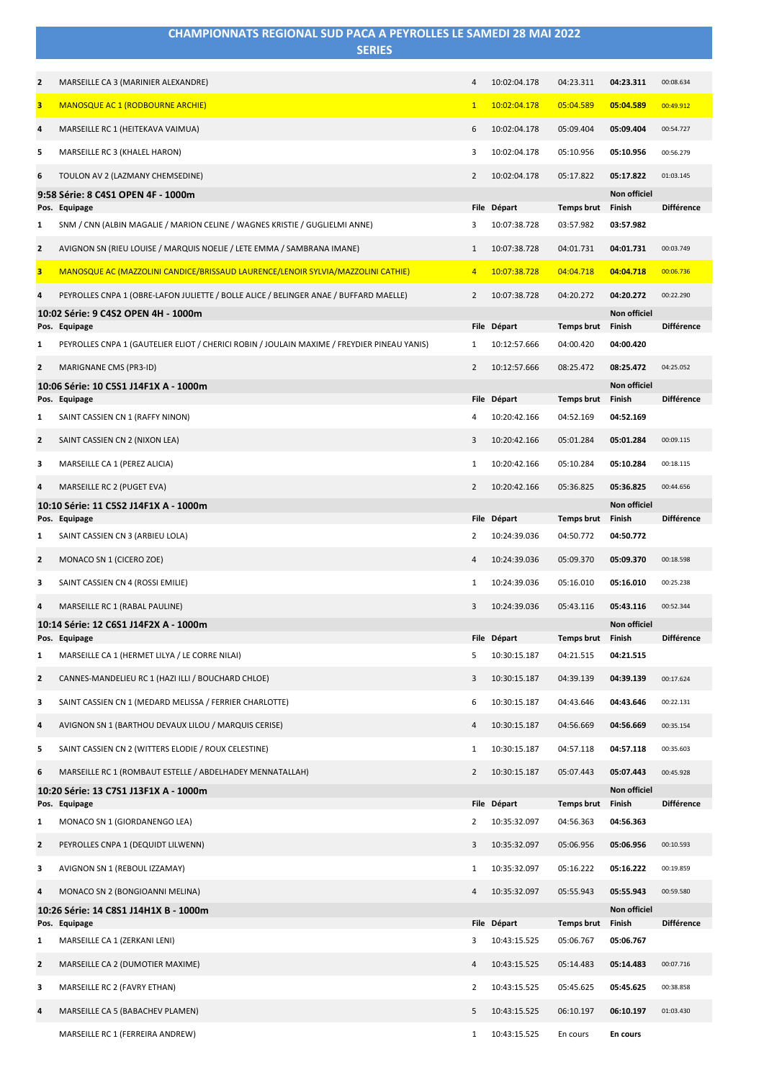|                         | CHAMPIONNATS REGIONAL SUD PACA A PEYROLLES LE SAMEDI 28 MAI 2022<br><b>SERIES</b>                  |                |                             |                                |                               |                   |
|-------------------------|----------------------------------------------------------------------------------------------------|----------------|-----------------------------|--------------------------------|-------------------------------|-------------------|
|                         |                                                                                                    |                |                             |                                |                               |                   |
| $\overline{\mathbf{2}}$ | MARSEILLE CA 3 (MARINIER ALEXANDRE)                                                                | $\overline{4}$ | 10:02:04.178                | 04:23.311                      | 04:23.311                     | 00:08.634         |
| 3                       | <b>MANOSQUE AC 1 (RODBOURNE ARCHIE)</b>                                                            | $\mathbf{1}$   | 10:02:04.178                | 05:04.589                      | 05:04.589                     | 00:49.912         |
| 4                       | MARSEILLE RC 1 (HEITEKAVA VAIMUA)                                                                  | 6              | 10:02:04.178                | 05:09.404                      | 05:09.404                     | 00:54.727         |
| 5                       | MARSEILLE RC 3 (KHALEL HARON)                                                                      | 3              | 10:02:04.178                | 05:10.956                      | 05:10.956                     | 00:56.279         |
| 6                       | TOULON AV 2 (LAZMANY CHEMSEDINE)                                                                   | $\overline{2}$ | 10:02:04.178                | 05:17.822                      | 05:17.822                     | 01:03.145         |
|                         | 9:58 Série: 8 C4S1 OPEN 4F - 1000m<br>Pos. Equipage                                                |                | File Départ                 | <b>Temps brut</b>              | <b>Non officiel</b><br>Finish | <b>Différence</b> |
| 1                       | SNM / CNN (ALBIN MAGALIE / MARION CELINE / WAGNES KRISTIE / GUGLIELMI ANNE)                        | 3              | 10:07:38.728                | 03:57.982                      | 03:57.982                     |                   |
| $\mathbf{2}$            | AVIGNON SN (RIEU LOUISE / MARQUIS NOELIE / LETE EMMA / SAMBRANA IMANE)                             | $\mathbf{1}$   | 10:07:38.728                | 04:01.731                      | 04:01.731                     | 00:03.749         |
| 3                       | MANOSQUE AC (MAZZOLINI CANDICE/BRISSAUD LAURENCE/LENOIR SYLVIA/MAZZOLINI CATHIE)                   | $\overline{4}$ | 10:07:38.728                | 04:04.718                      | 04:04.718                     | 00:06.736         |
| 4                       | PEYROLLES CNPA 1 (OBRE-LAFON JULIETTE / BOLLE ALICE / BELINGER ANAE / BUFFARD MAELLE)              | $\overline{2}$ | 10:07:38.728                | 04:20.272                      | 04:20.272                     | 00:22.290         |
|                         | 10:02 Série: 9 C4S2 OPEN 4H - 1000m<br>Pos. Equipage                                               |                | File Départ                 | <b>Temps brut</b>              | Non officiel<br>Finish        | <b>Différence</b> |
| 1                       | PEYROLLES CNPA 1 (GAUTELIER ELIOT / CHERICI ROBIN / JOULAIN MAXIME / FREYDIER PINEAU YANIS)        | 1              | 10:12:57.666                | 04:00.420                      | 04:00.420                     |                   |
| $\overline{\mathbf{2}}$ | MARIGNANE CMS (PR3-ID)                                                                             | $\overline{2}$ | 10:12:57.666                | 08:25.472                      | 08:25.472                     | 04:25.052         |
|                         | 10:06 Série: 10 C5S1 J14F1X A - 1000m                                                              |                |                             |                                | <b>Non officiel</b>           |                   |
| 1                       | Pos. Equipage<br>SAINT CASSIEN CN 1 (RAFFY NINON)                                                  | 4              | File Départ<br>10:20:42.166 | <b>Temps brut</b><br>04:52.169 | Finish<br>04:52.169           | <b>Différence</b> |
| $\overline{\mathbf{2}}$ | SAINT CASSIEN CN 2 (NIXON LEA)                                                                     | 3              | 10:20:42.166                | 05:01.284                      | 05:01.284                     | 00:09.115         |
| 3                       | MARSEILLE CA 1 (PEREZ ALICIA)                                                                      | 1              | 10:20:42.166                | 05:10.284                      | 05:10.284                     | 00:18.115         |
| 4                       | MARSEILLE RC 2 (PUGET EVA)                                                                         | $\overline{2}$ | 10:20:42.166                | 05:36.825                      | 05:36.825                     | 00:44.656         |
|                         | 10:10 Série: 11 C5S2 J14F1X A - 1000m                                                              |                |                             |                                | Non officiel                  |                   |
| 1                       | Pos. Equipage<br>SAINT CASSIEN CN 3 (ARBIEU LOLA)                                                  | 2              | File Départ<br>10:24:39.036 | <b>Temps brut</b><br>04:50.772 | Finish<br>04:50.772           | <b>Différence</b> |
| $\overline{\mathbf{2}}$ | MONACO SN 1 (CICERO ZOE)                                                                           | 4              | 10:24:39.036                | 05:09.370                      | 05:09.370                     | 00:18.598         |
| 3                       | SAINT CASSIEN CN 4 (ROSSI EMILIE)                                                                  | 1              | 10:24:39.036                | 05:16.010                      | 05:16.010                     | 00:25.238         |
|                         | MARSEILLE RC 1 (RABAL PAULINE)                                                                     | 3              | 10:24:39.036                | 05:43.116                      | 05:43.116                     | 00:52.344         |
|                         | 10:14 Série: 12 C6S1 J14F2X A - 1000m                                                              |                |                             |                                | Non officiel                  |                   |
| 1                       | Pos. Equipage<br>MARSEILLE CA 1 (HERMET LILYA / LE CORRE NILAI)                                    | 5              | File Départ<br>10:30:15.187 | <b>Temps brut</b><br>04:21.515 | Finish<br>04:21.515           | <b>Différence</b> |
| $\overline{2}$          | CANNES-MANDELIEU RC 1 (HAZI ILLI / BOUCHARD CHLOE)                                                 | 3              | 10:30:15.187                | 04:39.139                      | 04:39.139                     |                   |
|                         |                                                                                                    |                |                             |                                |                               | 00:17.624         |
| 3                       | SAINT CASSIEN CN 1 (MEDARD MELISSA / FERRIER CHARLOTTE)                                            | 6              | 10:30:15.187                | 04:43.646                      | 04:43.646                     | 00:22.131         |
| $\overline{\mathbf{4}}$ | AVIGNON SN 1 (BARTHOU DEVAUX LILOU / MARQUIS CERISE)                                               | 4              | 10:30:15.187                | 04:56.669                      | 04:56.669                     | 00:35.154         |
| 5                       | SAINT CASSIEN CN 2 (WITTERS ELODIE / ROUX CELESTINE)                                               | $\mathbf{1}$   | 10:30:15.187                | 04:57.118                      | 04:57.118                     | 00:35.603         |
| 6                       | MARSEILLE RC 1 (ROMBAUT ESTELLE / ABDELHADEY MENNATALLAH)<br>10:20 Série: 13 C7S1 J13F1X A - 1000m | $\overline{2}$ | 10:30:15.187                | 05:07.443                      | 05:07.443<br>Non officiel     | 00:45.928         |
|                         | Pos. Equipage                                                                                      |                | File Départ                 | Temps brut                     | Finish                        | <b>Différence</b> |
| 1                       | MONACO SN 1 (GIORDANENGO LEA)                                                                      | $\overline{2}$ | 10:35:32.097                | 04:56.363                      | 04:56.363                     |                   |
| $\overline{\mathbf{2}}$ | PEYROLLES CNPA 1 (DEQUIDT LILWENN)                                                                 | 3              | 10:35:32.097                | 05:06.956                      | 05:06.956                     | 00:10.593         |
| 3                       | AVIGNON SN 1 (REBOUL IZZAMAY)                                                                      | 1              | 10:35:32.097                | 05:16.222                      | 05:16.222                     | 00:19.859         |
| 4                       | MONACO SN 2 (BONGIOANNI MELINA)                                                                    | 4              | 10:35:32.097                | 05:55.943                      | 05:55.943                     | 00:59.580         |
|                         | 10:26 Série: 14 C8S1 J14H1X B - 1000m<br>Pos. Equipage                                             |                | File Départ                 | Temps brut                     | Non officiel<br>Finish        | <b>Différence</b> |
| 1                       | MARSEILLE CA 1 (ZERKANI LENI)                                                                      | 3              | 10:43:15.525                | 05:06.767                      | 05:06.767                     |                   |
| $\overline{2}$          | MARSEILLE CA 2 (DUMOTIER MAXIME)                                                                   | 4              | 10:43:15.525                | 05:14.483                      | 05:14.483                     | 00:07.716         |
| 3                       | MARSEILLE RC 2 (FAVRY ETHAN)                                                                       | $\overline{2}$ | 10:43:15.525                | 05:45.625                      | 05:45.625                     | 00:38.858         |
| 4                       | MARSEILLE CA 5 (BABACHEV PLAMEN)                                                                   | 5              | 10:43:15.525                | 06:10.197                      | 06:10.197                     | 01:03.430         |
|                         | MARSEILLE RC 1 (FERREIRA ANDREW)                                                                   | $\mathbf{1}$   | 10:43:15.525                | En cours                       | En cours                      |                   |